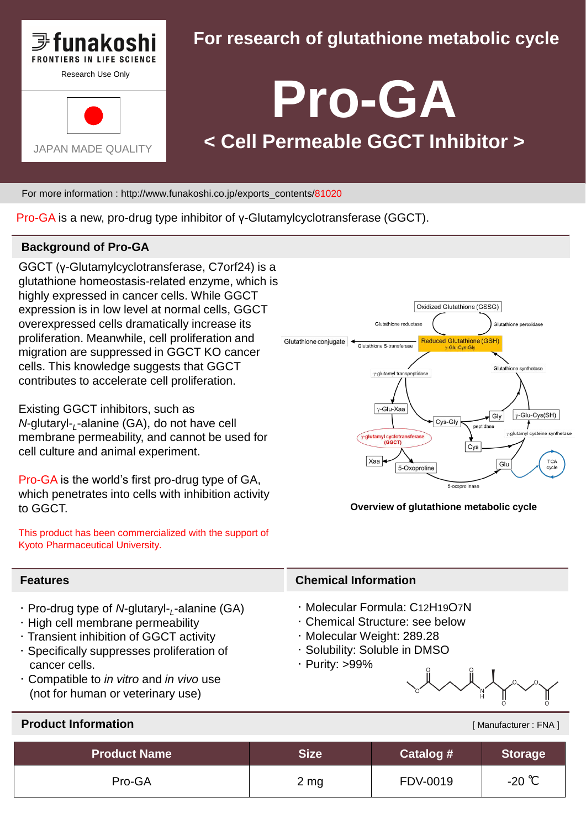

## **For research of glutathione metabolic cycle**

# **Pro-GA < Cell Permeable GGCT Inhibitor >**

For more information : http://www.funakoshi.co.jp/exports\_contents/81020

Pro-GA is a new, pro-drug type inhibitor of γ-Glutamylcyclotransferase (GGCT).

#### **Background of Pro-GA**

GGCT (γ-Glutamylcyclotransferase, C7orf24) is a glutathione homeostasis-related enzyme, which is highly expressed in cancer cells. While GGCT expression is in low level at normal cells, GGCT overexpressed cells dramatically increase its proliferation. Meanwhile, cell proliferation and migration are suppressed in GGCT KO cancer cells. This knowledge suggests that GGCT contributes to accelerate cell proliferation.

Existing GGCT inhibitors, such as *N*-glutaryl-*<sup>L</sup>* -alanine (GA), do not have cell membrane permeability, and cannot be used for cell culture and animal experiment.

Pro-GA is the world's first pro-drug type of GA, which penetrates into cells with inhibition activity to GGCT.

This product has been commercialized with the support of Kyoto Pharmaceutical University.



**Overview of glutathione metabolic cycle**

#### **Features**

- ・ Pro-drug type of *N*-glutaryl-*<sup>L</sup>* -alanine (GA)
- ・ High cell membrane permeability
- ・ Transient inhibition of GGCT activity
- ・ Specifically suppresses proliferation of cancer cells.
- ・ Compatible to *in vitro* and *in vivo* use (not for human or veterinary use)

#### **Chemical Information**

- ・ Molecular Formula: C12H19O7N
- ・ Chemical Structure: see below
- ・ Molecular Weight: 289.28
- ・ Solubility: Soluble in DMSO
- ・ Purity: >99%



[ Manufacturer : FNA ]

#### **Product Information**

| <b>Product Name</b> | Size      | Catalog # | Storage <sup>1</sup> |
|---------------------|-----------|-----------|----------------------|
| Pro-GA              | $2 \, mg$ | FDV-0019  | -20 ℃                |